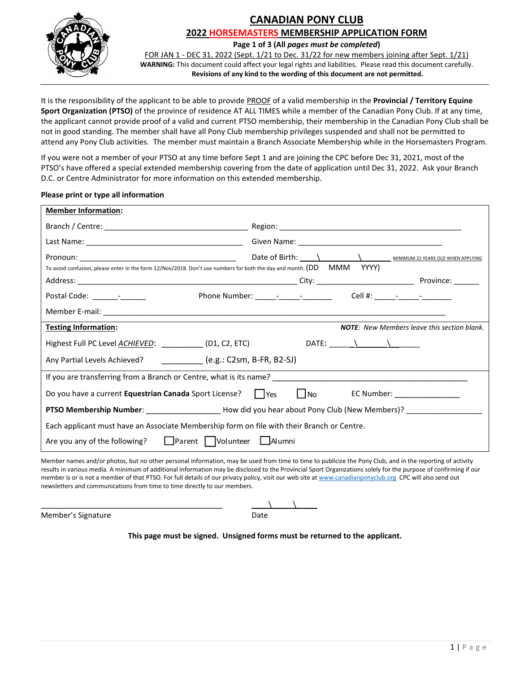

# **CANADIAN PONY CLUB 2022 HORSEMASTERS MEMBERSHIP APPLICATION FORM**

**Page 1 of 3 (All** *pages must be completed***)**

FOR JAN 1 - DEC 31, 2022 (Sept. 1/21 to Dec. 31/22 for new members joining after Sept. 1/21) **WARNING:** This document could affect your legal rights and liabilities. Please read this document carefully. **Revisions of any kind to the wording of this document are not permitted.**

It is the responsibility of the applicant to be able to provide PROOF of a valid membership in the **Provincial / Territory Equine Sport Organization (PTSO)** of the province of residence AT ALL TIMES while a member of the Canadian Pony Club. If at any time, the applicant cannot provide proof of a valid and current PTSO membership, their membership in the Canadian Pony Club shall be not in good standing. The member shall have all Pony Club membership privileges suspended and shall not be permitted to attend any Pony Club activities. The member must maintain a Branch Associate Membership while in the Horsemasters Program.

If you were not a member of your PTSO at any time before Sept 1 and are joining the CPC before Dec 31, 2021, most of the PTSO's have offered a special extended membership covering from the date of application until Dec 31, 2022. Ask your Branch D.C. or Centre Administrator for more information on this extended membership.

### **Please print or type all information**

| <b>Member Information:</b>                                                                                                                                                                                                                                                                                               |  |  |  |
|--------------------------------------------------------------------------------------------------------------------------------------------------------------------------------------------------------------------------------------------------------------------------------------------------------------------------|--|--|--|
|                                                                                                                                                                                                                                                                                                                          |  |  |  |
|                                                                                                                                                                                                                                                                                                                          |  |  |  |
|                                                                                                                                                                                                                                                                                                                          |  |  |  |
| To avoid confusion, please enter in the form 12/Nov/2018. Don't use numbers for both the day and month. (DD MMM YYYY)                                                                                                                                                                                                    |  |  |  |
|                                                                                                                                                                                                                                                                                                                          |  |  |  |
| Postal Code: ________________                                                                                                                                                                                                                                                                                            |  |  |  |
|                                                                                                                                                                                                                                                                                                                          |  |  |  |
| <b>Testing Information:</b><br><b>NOTE:</b> New Members leave this section blank.                                                                                                                                                                                                                                        |  |  |  |
| DATE: $\qquad \qquad \qquad$<br>Highest Full PC Level <u>ACHIEVED</u> : (D1, C2, ETC)                                                                                                                                                                                                                                    |  |  |  |
| Any Partial Levels Achieved? ____________ (e.g.: C2sm, B-FR, B2-SJ)                                                                                                                                                                                                                                                      |  |  |  |
|                                                                                                                                                                                                                                                                                                                          |  |  |  |
| Do you have a current Equestrian Canada Sport License?       Yes<br>$\vert$ No $\vert$<br>EC Number: National Assembly Property of the Second Second Second Second Second Second Second Second Second Second Second Second Second Second Second Second Second Second Second Second Second Second Second Second Second Se |  |  |  |
| PTSO Membership Number: ______________________How did you hear about Pony Club (New Members)? _______________                                                                                                                                                                                                            |  |  |  |
| Each applicant must have an Associate Membership form on file with their Branch or Centre.                                                                                                                                                                                                                               |  |  |  |
| Parent   Volunteer<br>l lAlumni<br>Are you any of the following?                                                                                                                                                                                                                                                         |  |  |  |
|                                                                                                                                                                                                                                                                                                                          |  |  |  |

Member names and/or photos, but no other personal information, may be used from time to time to publicize the Pony Club, and in the reporting of activity results in various media. A minimum of additional information may be disclosed to the Provincial Sport Organizations solely for the purpose of confirming if our member is or is not a member of that PTSO. For full details of our privacy policy, visit our web site a[t www.canadianponyclub.org](http://www.canadianponyclub.org/) CPC will also send out newsletters and communications from time to time directly to our members.

Member's Signature Date

\_\_\_\_\_\_\_\_\_\_\_\_\_\_\_\_\_\_\_\_\_\_\_\_\_\_\_\_\_\_\_\_\_\_\_\_\_\_\_ \_\_\_\_\\_\_\_\_\_\\_\_\_\_\_

**This page must be signed. Unsigned forms must be returned to the applicant.**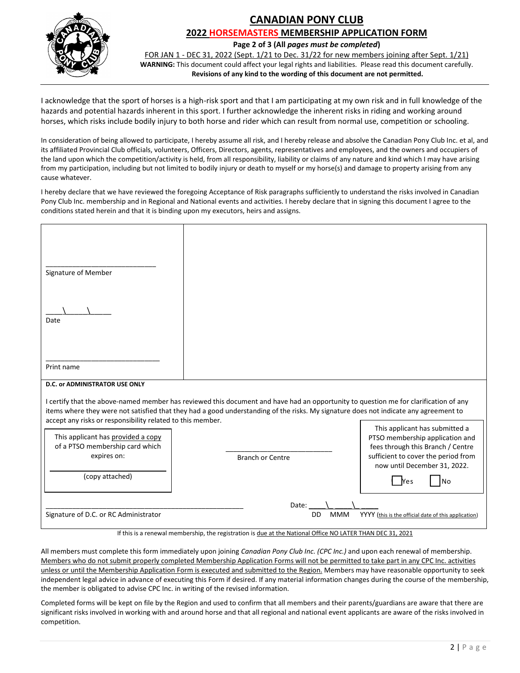

# **CANADIAN PONY CLUB 2022 HORSEMASTERS MEMBERSHIP APPLICATION FORM**

**Page 2 of 3 (All** *pages must be completed***)**

FOR JAN 1 - DEC 31, 2022 (Sept. 1/21 to Dec. 31/22 for new members joining after Sept. 1/21) **WARNING:** This document could affect your legal rights and liabilities. Please read this document carefully. **Revisions of any kind to the wording of this document are not permitted.**

I acknowledge that the sport of horses is a high-risk sport and that I am participating at my own risk and in full knowledge of the hazards and potential hazards inherent in this sport. I further acknowledge the inherent risks in riding and working around horses, which risks include bodily injury to both horse and rider which can result from normal use, competition or schooling.

In consideration of being allowed to participate, I hereby assume all risk, and I hereby release and absolve the Canadian Pony Club Inc. et al, and its affiliated Provincial Club officials, volunteers, Officers, Directors, agents, representatives and employees, and the owners and occupiers of the land upon which the competition/activity is held, from all responsibility, liability or claims of any nature and kind which I may have arising from my participation, including but not limited to bodily injury or death to myself or my horse(s) and damage to property arising from any cause whatever.

I hereby declare that we have reviewed the foregoing Acceptance of Risk paragraphs sufficiently to understand the risks involved in Canadian Pony Club Inc. membership and in Regional and National events and activities. I hereby declare that in signing this document I agree to the conditions stated herein and that it is binding upon my executors, heirs and assigns.

| Signature of Member                                                                                                                                                                                                                                                          |                                  |                                                                                                                                                                               |  |  |
|------------------------------------------------------------------------------------------------------------------------------------------------------------------------------------------------------------------------------------------------------------------------------|----------------------------------|-------------------------------------------------------------------------------------------------------------------------------------------------------------------------------|--|--|
| Date                                                                                                                                                                                                                                                                         |                                  |                                                                                                                                                                               |  |  |
| Print name<br>D.C. or ADMINISTRATOR USE ONLY                                                                                                                                                                                                                                 |                                  |                                                                                                                                                                               |  |  |
| I certify that the above-named member has reviewed this document and have had an opportunity to question me for clarification of any<br>items where they were not satisfied that they had a good understanding of the risks. My signature does not indicate any agreement to |                                  |                                                                                                                                                                               |  |  |
| accept any risks or responsibility related to this member.<br>This applicant has provided a copy<br>of a PTSO membership card which<br>expires on:                                                                                                                           | <b>Branch or Centre</b>          | This applicant has submitted a<br>PTSO membership application and<br>fees through this Branch / Centre<br>sufficient to cover the period from<br>now until December 31, 2022. |  |  |
| (copy attached)                                                                                                                                                                                                                                                              |                                  | <b>No</b><br><b>Nes</b>                                                                                                                                                       |  |  |
| Signature of D.C. or RC Administrator                                                                                                                                                                                                                                        | Date:<br><b>DD</b><br><b>MMM</b> | YYYY (this is the official date of this application)                                                                                                                          |  |  |
| If this is a renewal membership, the registration is due at the National Office NO LATER THAN DEC 31, 2021                                                                                                                                                                   |                                  |                                                                                                                                                                               |  |  |

All members must complete this form immediately upon joining *Canadian Pony Club Inc. (CPC Inc.)* and upon each renewal of membership. Members who do not submit properly completed Membership Application Forms will not be permitted to take part in any CPC Inc. activities unless or until the Membership Application Form is executed and submitted to the Region. Members may have reasonable opportunity to seek independent legal advice in advance of executing this Form if desired. If any material information changes during the course of the membership, the member is obligated to advise CPC Inc. in writing of the revised information.

Completed forms will be kept on file by the Region and used to confirm that all members and their parents/guardians are aware that there are significant risks involved in working with and around horse and that all regional and national event applicants are aware of the risks involved in competition.